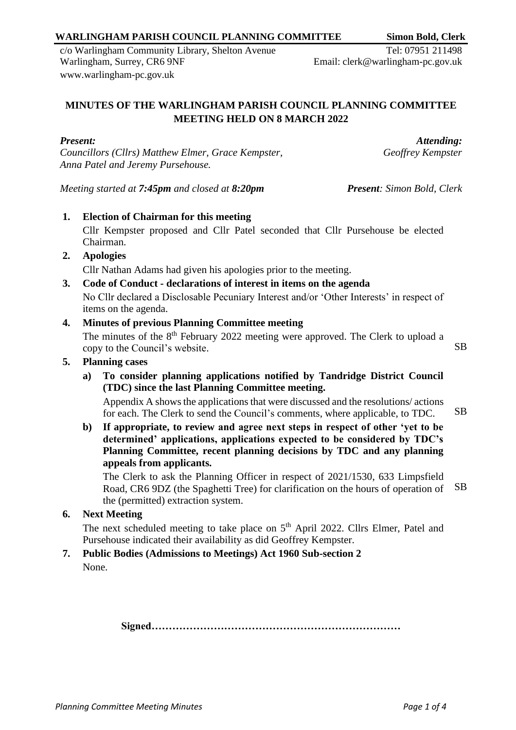#### *Councillors (Cllrs) Matthew Elmer, Grace Kempster, Anna Patel and Jeremy Pursehouse.*

*Meeting started at 7:45pm and closed at 8:20pm Present: Simon Bold, Clerk*

**1. Election of Chairman for this meeting** Cllr Kempster proposed and Cllr Patel seconded that Cllr Pursehouse be elected Chairman.

**MINUTES OF THE WARLINGHAM PARISH COUNCIL PLANNING COMMITTEE MEETING HELD ON 8 MARCH 2022**

**2. Apologies**

*Present:*

Cllr Nathan Adams had given his apologies prior to the meeting.

**3. Code of Conduct - declarations of interest in items on the agenda**

No Cllr declared a Disclosable Pecuniary Interest and/or 'Other Interests' in respect of items on the agenda.

## **4. Minutes of previous Planning Committee meeting**

The minutes of the  $8<sup>th</sup>$  February 2022 meeting were approved. The Clerk to upload a copy to the Council's website. SB

## **5. Planning cases**

**a) To consider planning applications notified by Tandridge District Council (TDC) since the last Planning Committee meeting.**

Appendix A shows the applications that were discussed and the resolutions/ actions for each. The Clerk to send the Council's comments, where applicable, to TDC. SB

**b) If appropriate, to review and agree next steps in respect of other 'yet to be determined' applications, applications expected to be considered by TDC's Planning Committee, recent planning decisions by TDC and any planning appeals from applicants.**

The Clerk to ask the Planning Officer in respect of 2021/1530, 633 Limpsfield Road, CR6 9DZ (the Spaghetti Tree) for clarification on the hours of operation of the (permitted) extraction system. SB

## **6. Next Meeting**

The next scheduled meeting to take place on  $5<sup>th</sup>$  April 2022. Cllrs Elmer, Patel and Pursehouse indicated their availability as did Geoffrey Kempster.

#### **7. Public Bodies (Admissions to Meetings) Act 1960 Sub-section 2** None.

**Signed………………………………………………………………**

c/o Warlingham Community Library, Shelton Avenue Warlingham, Surrey, CR6 9NF [www.warlingham-pc.gov.uk](http://www.warlingham-pc.gov.uk/)

**WARLINGHAM PARISH COUNCIL PLANNING COMMITTEE Simon Bold, Clerk** Tel: 07951 211498

Email: clerk@warlingham-pc.gov.uk

*Attending:*

*Geoffrey Kempster*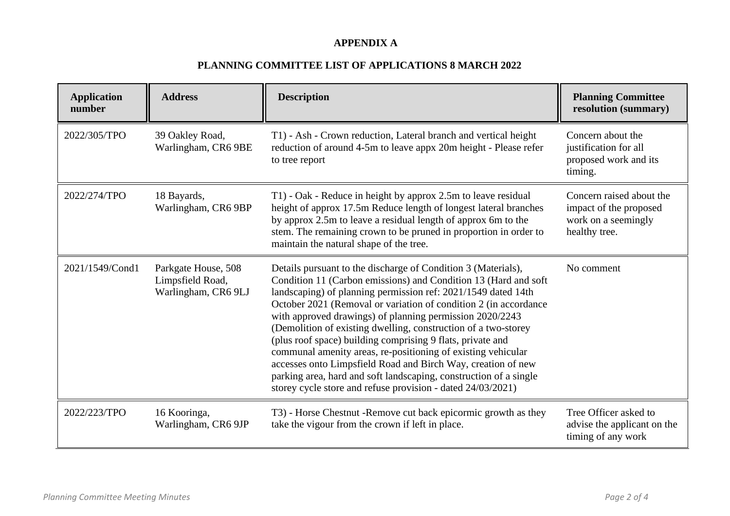## **APPENDIX A**

# **PLANNING COMMITTEE LIST OF APPLICATIONS 8 MARCH 2022**

| <b>Application</b><br>number | <b>Address</b>                                                 | <b>Description</b>                                                                                                                                                                                                                                                                                                                                                                                                                                                                                                                                                                                                                                                                                                                     | <b>Planning Committee</b><br>resolution (summary)                                          |
|------------------------------|----------------------------------------------------------------|----------------------------------------------------------------------------------------------------------------------------------------------------------------------------------------------------------------------------------------------------------------------------------------------------------------------------------------------------------------------------------------------------------------------------------------------------------------------------------------------------------------------------------------------------------------------------------------------------------------------------------------------------------------------------------------------------------------------------------------|--------------------------------------------------------------------------------------------|
| 2022/305/TPO                 | 39 Oakley Road,<br>Warlingham, CR6 9BE                         | T1) - Ash - Crown reduction, Lateral branch and vertical height<br>reduction of around 4-5m to leave appx 20m height - Please refer<br>to tree report                                                                                                                                                                                                                                                                                                                                                                                                                                                                                                                                                                                  | Concern about the<br>justification for all<br>proposed work and its<br>timing.             |
| 2022/274/TPO                 | 18 Bayards,<br>Warlingham, CR6 9BP                             | T1) - Oak - Reduce in height by approx 2.5m to leave residual<br>height of approx 17.5m Reduce length of longest lateral branches<br>by approx 2.5m to leave a residual length of approx 6m to the<br>stem. The remaining crown to be pruned in proportion in order to<br>maintain the natural shape of the tree.                                                                                                                                                                                                                                                                                                                                                                                                                      | Concern raised about the<br>impact of the proposed<br>work on a seemingly<br>healthy tree. |
| 2021/1549/Cond1              | Parkgate House, 508<br>Limpsfield Road,<br>Warlingham, CR6 9LJ | Details pursuant to the discharge of Condition 3 (Materials),<br>Condition 11 (Carbon emissions) and Condition 13 (Hard and soft<br>landscaping) of planning permission ref: 2021/1549 dated 14th<br>October 2021 (Removal or variation of condition 2 (in accordance)<br>with approved drawings) of planning permission 2020/2243<br>(Demolition of existing dwelling, construction of a two-storey<br>(plus roof space) building comprising 9 flats, private and<br>communal amenity areas, re-positioning of existing vehicular<br>accesses onto Limpsfield Road and Birch Way, creation of new<br>parking area, hard and soft landscaping, construction of a single<br>storey cycle store and refuse provision - dated 24/03/2021) | No comment                                                                                 |
| 2022/223/TPO                 | 16 Kooringa,<br>Warlingham, CR6 9JP                            | T3) - Horse Chestnut - Remove cut back epicormic growth as they<br>take the vigour from the crown if left in place.                                                                                                                                                                                                                                                                                                                                                                                                                                                                                                                                                                                                                    | Tree Officer asked to<br>advise the applicant on the<br>timing of any work                 |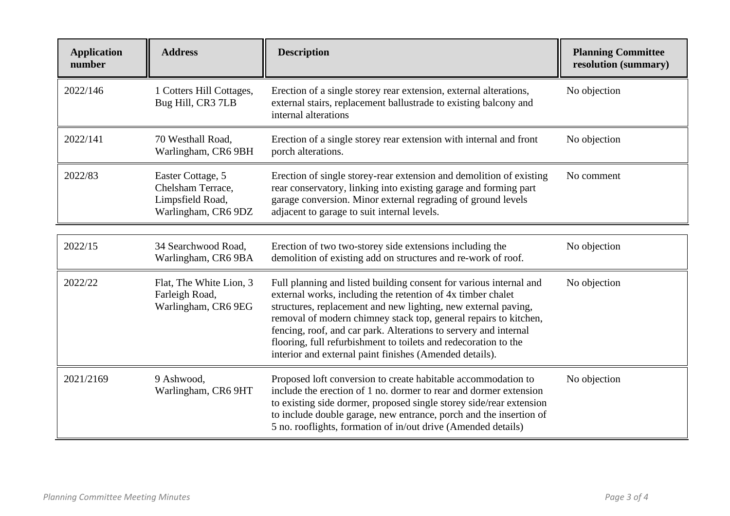| <b>Application</b><br>number | <b>Address</b>                                                                    | <b>Description</b>                                                                                                                                                                                                                                                                                                                                                                                                                                                        | <b>Planning Committee</b><br>resolution (summary) |
|------------------------------|-----------------------------------------------------------------------------------|---------------------------------------------------------------------------------------------------------------------------------------------------------------------------------------------------------------------------------------------------------------------------------------------------------------------------------------------------------------------------------------------------------------------------------------------------------------------------|---------------------------------------------------|
| 2022/146                     | 1 Cotters Hill Cottages,<br>Bug Hill, CR3 7LB                                     | Erection of a single storey rear extension, external alterations,<br>external stairs, replacement ballustrade to existing balcony and<br>internal alterations                                                                                                                                                                                                                                                                                                             | No objection                                      |
| 2022/141                     | 70 Westhall Road,<br>Warlingham, CR6 9BH                                          | Erection of a single storey rear extension with internal and front<br>porch alterations.                                                                                                                                                                                                                                                                                                                                                                                  | No objection                                      |
| 2022/83                      | Easter Cottage, 5<br>Chelsham Terrace,<br>Limpsfield Road,<br>Warlingham, CR6 9DZ | Erection of single storey-rear extension and demolition of existing<br>rear conservatory, linking into existing garage and forming part<br>garage conversion. Minor external regrading of ground levels<br>adjacent to garage to suit internal levels.                                                                                                                                                                                                                    | No comment                                        |
| 2022/15                      | 34 Searchwood Road,<br>Warlingham, CR6 9BA                                        | Erection of two two-storey side extensions including the<br>demolition of existing add on structures and re-work of roof.                                                                                                                                                                                                                                                                                                                                                 | No objection                                      |
| 2022/22                      | Flat, The White Lion, 3<br>Farleigh Road,<br>Warlingham, CR6 9EG                  | Full planning and listed building consent for various internal and<br>external works, including the retention of 4x timber chalet<br>structures, replacement and new lighting, new external paving,<br>removal of modern chimney stack top, general repairs to kitchen,<br>fencing, roof, and car park. Alterations to servery and internal<br>flooring, full refurbishment to toilets and redecoration to the<br>interior and external paint finishes (Amended details). | No objection                                      |
| 2021/2169                    | 9 Ashwood,<br>Warlingham, CR6 9HT                                                 | Proposed loft conversion to create habitable accommodation to<br>include the erection of 1 no. dormer to rear and dormer extension<br>to existing side dormer, proposed single storey side/rear extension<br>to include double garage, new entrance, porch and the insertion of<br>5 no. rooflights, formation of in/out drive (Amended details)                                                                                                                          | No objection                                      |